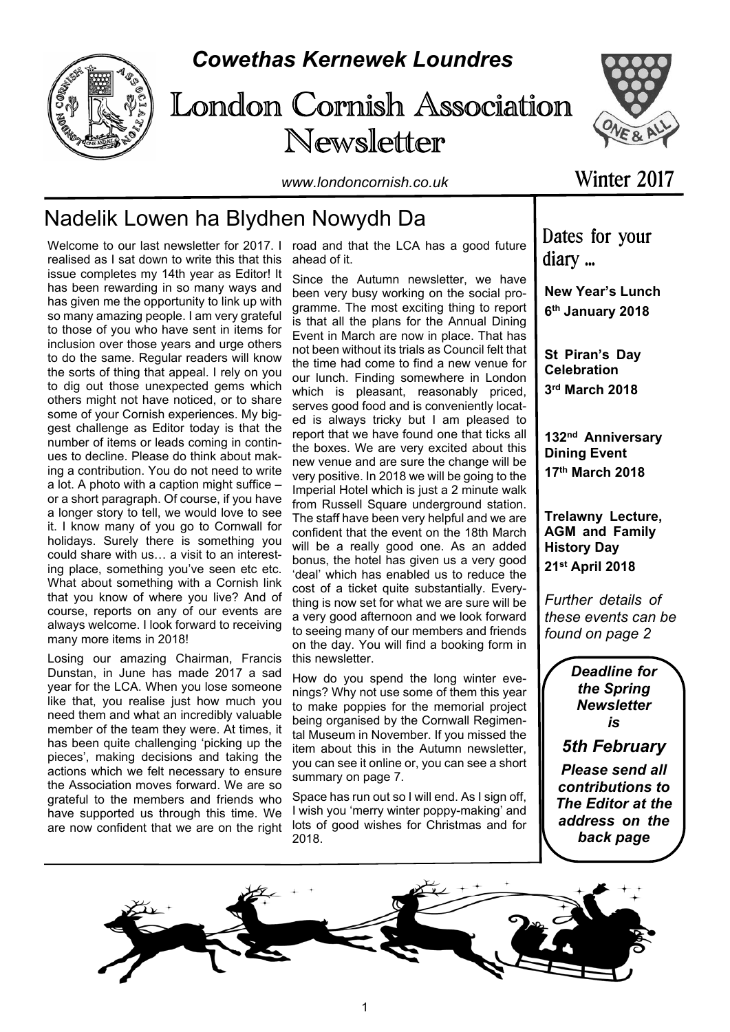

## *Cowethas Kernewek Loundres*





*www.londoncornish.co.uk*

# Nadelik Lowen ha Blydhen Nowydh Da

realised as I sat down to write this that this issue completes my 14th year as Editor! It has been rewarding in so many ways and has given me the opportunity to link up with so many amazing people. I am very grateful to those of you who have sent in items for inclusion over those years and urge others to do the same. Regular readers will know the sorts of thing that appeal. I rely on you to dig out those unexpected gems which others might not have noticed, or to share some of your Cornish experiences. My biggest challenge as Editor today is that the number of items or leads coming in continues to decline. Please do think about making a contribution. You do not need to write a lot. A photo with a caption might suffice – or a short paragraph. Of course, if you have a longer story to tell, we would love to see it. I know many of you go to Cornwall for holidays. Surely there is something you could share with us… a visit to an interesting place, something you've seen etc etc. What about something with a Cornish link that you know of where you live? And of course, reports on any of our events are always welcome. I look forward to receiving many more items in 2018!

Losing our amazing Chairman, Francis Dunstan, in June has made 2017 a sad year for the LCA. When you lose someone like that, you realise just how much you need them and what an incredibly valuable member of the team they were. At times, it has been quite challenging 'picking up the pieces', making decisions and taking the actions which we felt necessary to ensure the Association moves forward. We are so grateful to the members and friends who have supported us through this time. We are now confident that we are on the right

Welcome to our last newsletter for 2017. I road and that the LCA has a good future ahead of it.

> Since the Autumn newsletter, we have been very busy working on the social programme. The most exciting thing to report is that all the plans for the Annual Dining Event in March are now in place. That has not been without its trials as Council felt that the time had come to find a new venue for our lunch. Finding somewhere in London which is pleasant, reasonably priced, serves good food and is conveniently located is always tricky but I am pleased to report that we have found one that ticks all the boxes. We are very excited about this new venue and are sure the change will be very positive. In 2018 we will be going to the Imperial Hotel which is just a 2 minute walk from Russell Square underground station. The staff have been very helpful and we are confident that the event on the 18th March will be a really good one. As an added bonus, the hotel has given us a very good 'deal' which has enabled us to reduce the cost of a ticket quite substantially. Everything is now set for what we are sure will be a very good afternoon and we look forward to seeing many of our members and friends on the day. You will find a booking form in this newsletter.

> How do you spend the long winter evenings? Why not use some of them this year to make poppies for the memorial project being organised by the Cornwall Regimental Museum in November. If you missed the item about this in the Autumn newsletter, you can see it online or, you can see a short summary on page 7.

Space has run out so I will end. As I sign off, I wish you 'merry winter poppy-making' and lots of good wishes for Christmas and for 2018.

Winter 2017

Dates for your diary ...

**New Year's Lunch 6 th January 2018**

**St Piran's Day Celebration 3 rd March 2018**

**132nd Anniversary Dining Event 17th March 2018**

**Trelawny Lecture, AGM and Family History Day 21st April 2018**

*Further details of these events can be found on page 2*

> *Deadline for the Spring Newsletter is*

*5th February*

*Please send all contributions to The Editor at the address on the back page*

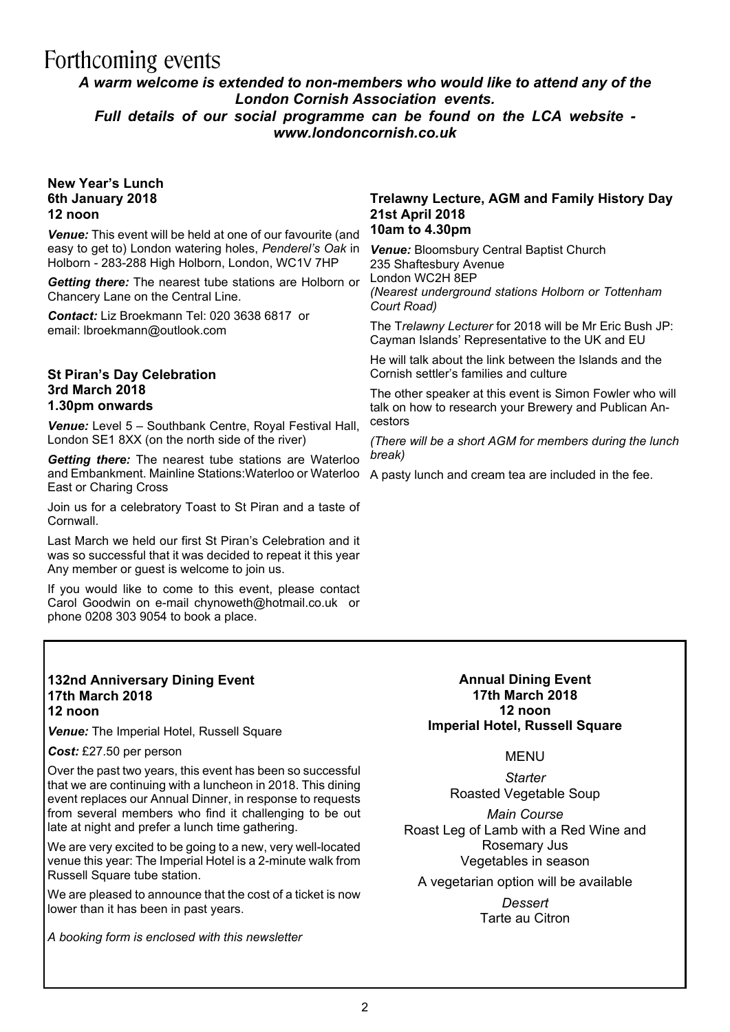# Forthcoming events

### *A warm welcome is extended to non-members who would like to attend any of the London Cornish Association events. Full details of our social programme can be found on the LCA website -*

*www.londoncornish.co.uk*

#### **New Year's Lunch 6th January 2018 12 noon**

*Venue:* This event will be held at one of our favourite (and easy to get to) London watering holes, *Penderel's Oak* in Holborn - 283-288 High Holborn, London, WC1V 7HP

*Getting there:* The nearest tube stations are Holborn or Chancery Lane on the Central Line.

*Contact:* Liz Broekmann Tel: 020 3638 6817 or email: lbroekmann@outlook.com

#### **St Piran's Day Celebration 3rd March 2018 1.30pm onwards**

*Venue:* Level 5 – Southbank Centre, Royal Festival Hall, London SE1 8XX (on the north side of the river)

*Getting there:* The nearest tube stations are Waterloo and Embankment. Mainline Stations:Waterloo or Waterloo East or Charing Cross

Join us for a celebratory Toast to St Piran and a taste of **Cornwall** 

Last March we held our first St Piran's Celebration and it was so successful that it was decided to repeat it this year Any member or guest is welcome to join us.

If you would like to come to this event, please contact Carol Goodwin on e-mail chynoweth@hotmail.co.uk or phone 0208 303 9054 to book a place.

#### **132nd Anniversary Dining Event 17th March 2018 12 noon**

*Venue:* The Imperial Hotel, Russell Square

#### *Cost:* £27.50 per person

Over the past two years, this event has been so successful that we are continuing with a luncheon in 2018. This dining event replaces our Annual Dinner, in response to requests from several members who find it challenging to be out late at night and prefer a lunch time gathering.

We are very excited to be going to a new, very well-located venue this year: The Imperial Hotel is a 2-minute walk from Russell Square tube station.

We are pleased to announce that the cost of a ticket is now lower than it has been in past years.

*A booking form is enclosed with this newsletter*

#### **Trelawny Lecture, AGM and Family History Day 21st April 2018 10am to 4.30pm**

### *Venue:* Bloomsbury Central Baptist Church 235 Shaftesbury Avenue London WC2H 8EP

*(Nearest underground stations Holborn or Tottenham Court Road)*

The T*relawny Lecturer* for 2018 will be Mr Eric Bush JP: Cayman Islands' Representative to the UK and EU

He will talk about the link between the Islands and the Cornish settler's families and culture

The other speaker at this event is Simon Fowler who will talk on how to research your Brewery and Publican Ancestors

*(There will be a short AGM for members during the lunch break)*

A pasty lunch and cream tea are included in the fee.

### **Annual Dining Event 17th March 2018 12 noon Imperial Hotel, Russell Square**

MENU

*Starter* Roasted Vegetable Soup

*Main Course* Roast Leg of Lamb with a Red Wine and Rosemary Jus Vegetables in season

A vegetarian option will be available

*Dessert* Tarte au Citron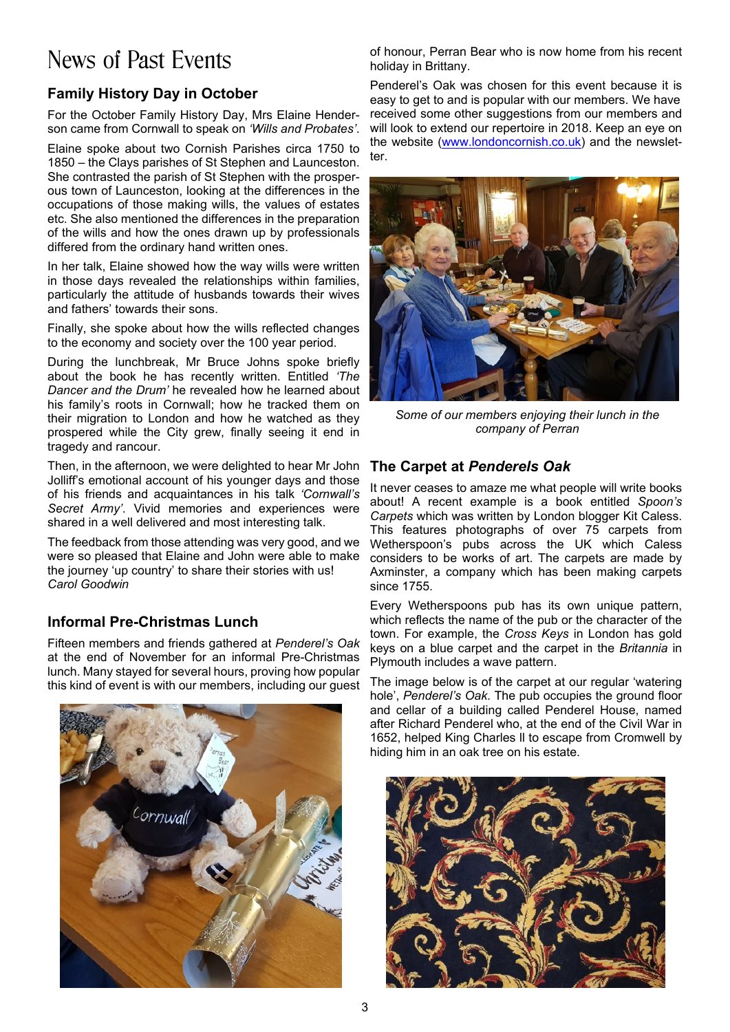# News of Past Events

### **Family History Day in October**

For the October Family History Day, Mrs Elaine Henderson came from Cornwall to speak on *'Wills and Probates'*.

Elaine spoke about two Cornish Parishes circa 1750 to 1850 – the Clays parishes of St Stephen and Launceston. She contrasted the parish of St Stephen with the prosperous town of Launceston, looking at the differences in the occupations of those making wills, the values of estates etc. She also mentioned the differences in the preparation of the wills and how the ones drawn up by professionals differed from the ordinary hand written ones.

In her talk, Elaine showed how the way wills were written in those days revealed the relationships within families, particularly the attitude of husbands towards their wives and fathers' towards their sons.

Finally, she spoke about how the wills reflected changes to the economy and society over the 100 year period.

During the lunchbreak, Mr Bruce Johns spoke briefly about the book he has recently written. Entitled *'The Dancer and the Drum'* he revealed how he learned about his family's roots in Cornwall; how he tracked them on their migration to London and how he watched as they prospered while the City grew, finally seeing it end in tragedy and rancour.

Then, in the afternoon, we were delighted to hear Mr John Jolliff's emotional account of his younger days and those of his friends and acquaintances in his talk *'Cornwall's Secret Army'*. Vivid memories and experiences were shared in a well delivered and most interesting talk.

The feedback from those attending was very good, and we were so pleased that Elaine and John were able to make the journey 'up country' to share their stories with us! *Carol Goodwin*

### **Informal Pre-Christmas Lunch**

Fifteen members and friends gathered at *Penderel's Oak* at the end of November for an informal Pre-Christmas lunch. Many stayed for several hours, proving how popular this kind of event is with our members, including our guest



of honour, Perran Bear who is now home from his recent holiday in Brittany.

Penderel's Oak was chosen for this event because it is easy to get to and is popular with our members. We have received some other suggestions from our members and will look to extend our repertoire in 2018. Keep an eye on the website (www.londoncornish.co.uk) and the newsletter.



*Some of our members enjoying their lunch in the company of Perran*

### **The Carpet at** *Penderels Oak*

It never ceases to amaze me what people will write books about! A recent example is a book entitled *Spoon's Carpets* which was written by London blogger Kit Caless. This features photographs of over 75 carpets from Wetherspoon's pubs across the UK which Caless considers to be works of art. The carpets are made by Axminster, a company which has been making carpets since 1755.

Every Wetherspoons pub has its own unique pattern, which reflects the name of the pub or the character of the town. For example, the *Cross Keys* in London has gold keys on a blue carpet and the carpet in the *Britannia* in Plymouth includes a wave pattern.

The image below is of the carpet at our regular 'watering hole', *Penderel's Oak*. The pub occupies the ground floor and cellar of a building called Penderel House, named after Richard Penderel who, at the end of the Civil War in 1652, helped King Charles ll to escape from Cromwell by hiding him in an oak tree on his estate.

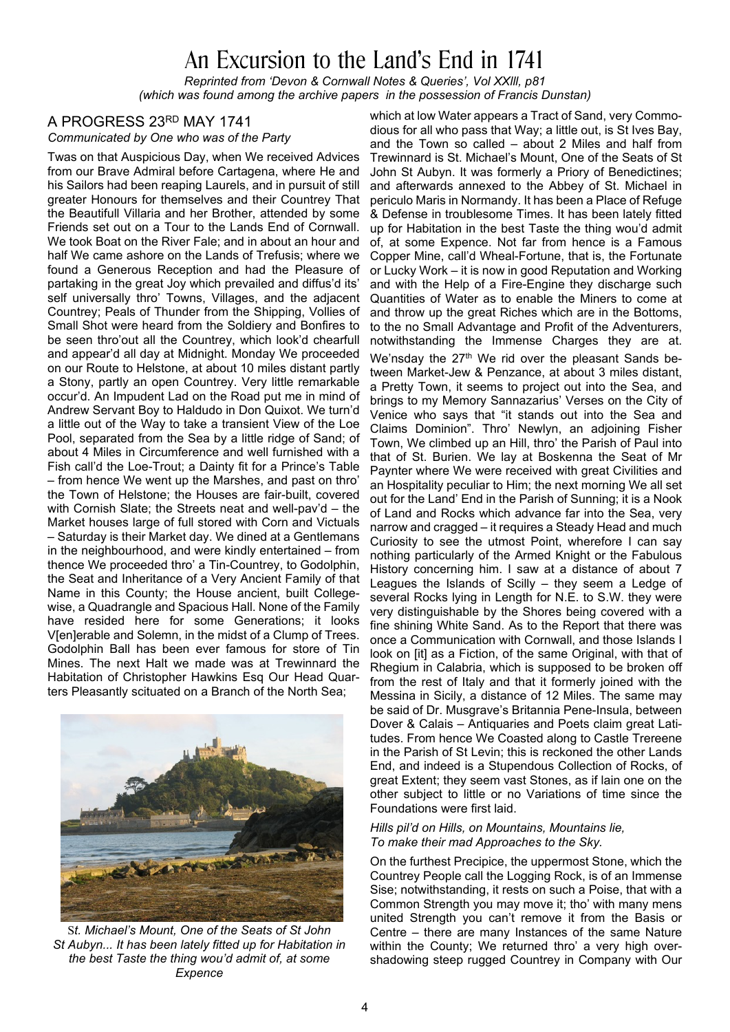# An Excursion to the Land's End in 1741

*Reprinted from 'Devon & Cornwall Notes & Queries', Vol XXlll, p81 (which was found among the archive papers in the possession of Francis Dunstan)*

### A PROGRESS 23RD MAY 1741

*Communicated by One who was of the Party*

Twas on that Auspicious Day, when We received Advices from our Brave Admiral before Cartagena, where He and his Sailors had been reaping Laurels, and in pursuit of still greater Honours for themselves and their Countrey That the Beautifull Villaria and her Brother, attended by some Friends set out on a Tour to the Lands End of Cornwall. We took Boat on the River Fale; and in about an hour and half We came ashore on the Lands of Trefusis; where we found a Generous Reception and had the Pleasure of partaking in the great Joy which prevailed and diffus'd its' self universally thro' Towns, Villages, and the adjacent Countrey; Peals of Thunder from the Shipping, Vollies of Small Shot were heard from the Soldiery and Bonfires to be seen thro'out all the Countrey, which look'd chearfull and appear'd all day at Midnight. Monday We proceeded on our Route to Helstone, at about 10 miles distant partly a Stony, partly an open Countrey. Very little remarkable occur'd. An Impudent Lad on the Road put me in mind of Andrew Servant Boy to Haldudo in Don Quixot. We turn'd a little out of the Way to take a transient View of the Loe Pool, separated from the Sea by a little ridge of Sand; of about 4 Miles in Circumference and well furnished with a Fish call'd the Loe-Trout; a Dainty fit for a Prince's Table – from hence We went up the Marshes, and past on thro' the Town of Helstone; the Houses are fair-built, covered with Cornish Slate; the Streets neat and well-pav'd – the Market houses large of full stored with Corn and Victuals – Saturday is their Market day. We dined at a Gentlemans in the neighbourhood, and were kindly entertained – from thence We proceeded thro' a Tin-Countrey, to Godolphin, the Seat and Inheritance of a Very Ancient Family of that Name in this County; the House ancient, built Collegewise, a Quadrangle and Spacious Hall. None of the Family have resided here for some Generations; it looks V[en]erable and Solemn, in the midst of a Clump of Trees. Godolphin Ball has been ever famous for store of Tin Mines. The next Halt we made was at Trewinnard the Habitation of Christopher Hawkins Esq Our Head Quarters Pleasantly scituated on a Branch of the North Sea;



S*t. Michael's Mount, One of the Seats of St John St Aubyn... It has been lately fitted up for Habitation in the best Taste the thing wou'd admit of, at some Expence*

which at low Water appears a Tract of Sand, very Commodious for all who pass that Way; a little out, is St Ives Bay, and the Town so called – about 2 Miles and half from Trewinnard is St. Michael's Mount, One of the Seats of St John St Aubyn. It was formerly a Priory of Benedictines; and afterwards annexed to the Abbey of St. Michael in periculo Maris in Normandy. It has been a Place of Refuge & Defense in troublesome Times. It has been lately fitted up for Habitation in the best Taste the thing wou'd admit of, at some Expence. Not far from hence is a Famous Copper Mine, call'd Wheal-Fortune, that is, the Fortunate or Lucky Work – it is now in good Reputation and Working and with the Help of a Fire-Engine they discharge such Quantities of Water as to enable the Miners to come at and throw up the great Riches which are in the Bottoms, to the no Small Advantage and Profit of the Adventurers, notwithstanding the Immense Charges they are at.

We'nsday the 27<sup>th</sup> We rid over the pleasant Sands between Market-Jew & Penzance, at about 3 miles distant, a Pretty Town, it seems to project out into the Sea, and brings to my Memory Sannazarius' Verses on the City of Venice who says that "it stands out into the Sea and Claims Dominion". Thro' Newlyn, an adjoining Fisher Town, We climbed up an Hill, thro' the Parish of Paul into that of St. Burien. We lay at Boskenna the Seat of Mr Paynter where We were received with great Civilities and an Hospitality peculiar to Him; the next morning We all set out for the Land' End in the Parish of Sunning; it is a Nook of Land and Rocks which advance far into the Sea, very narrow and cragged – it requires a Steady Head and much Curiosity to see the utmost Point, wherefore I can say nothing particularly of the Armed Knight or the Fabulous History concerning him. I saw at a distance of about 7 Leagues the Islands of Scilly – they seem a Ledge of several Rocks lying in Length for N.E. to S.W. they were very distinguishable by the Shores being covered with a fine shining White Sand. As to the Report that there was once a Communication with Cornwall, and those Islands I look on [it] as a Fiction, of the same Original, with that of Rhegium in Calabria, which is supposed to be broken off from the rest of Italy and that it formerly joined with the Messina in Sicily, a distance of 12 Miles. The same may be said of Dr. Musgrave's Britannia Pene-Insula, between Dover & Calais – Antiquaries and Poets claim great Latitudes. From hence We Coasted along to Castle Trereene in the Parish of St Levin; this is reckoned the other Lands End, and indeed is a Stupendous Collection of Rocks, of great Extent; they seem vast Stones, as if lain one on the other subject to little or no Variations of time since the Foundations were first laid.

#### *Hills pil'd on Hills, on Mountains, Mountains lie, To make their mad Approaches to the Sky.*

On the furthest Precipice, the uppermost Stone, which the Countrey People call the Logging Rock, is of an Immense Sise; notwithstanding, it rests on such a Poise, that with a Common Strength you may move it; tho' with many mens united Strength you can't remove it from the Basis or Centre – there are many Instances of the same Nature within the County; We returned thro' a very high overshadowing steep rugged Countrey in Company with Our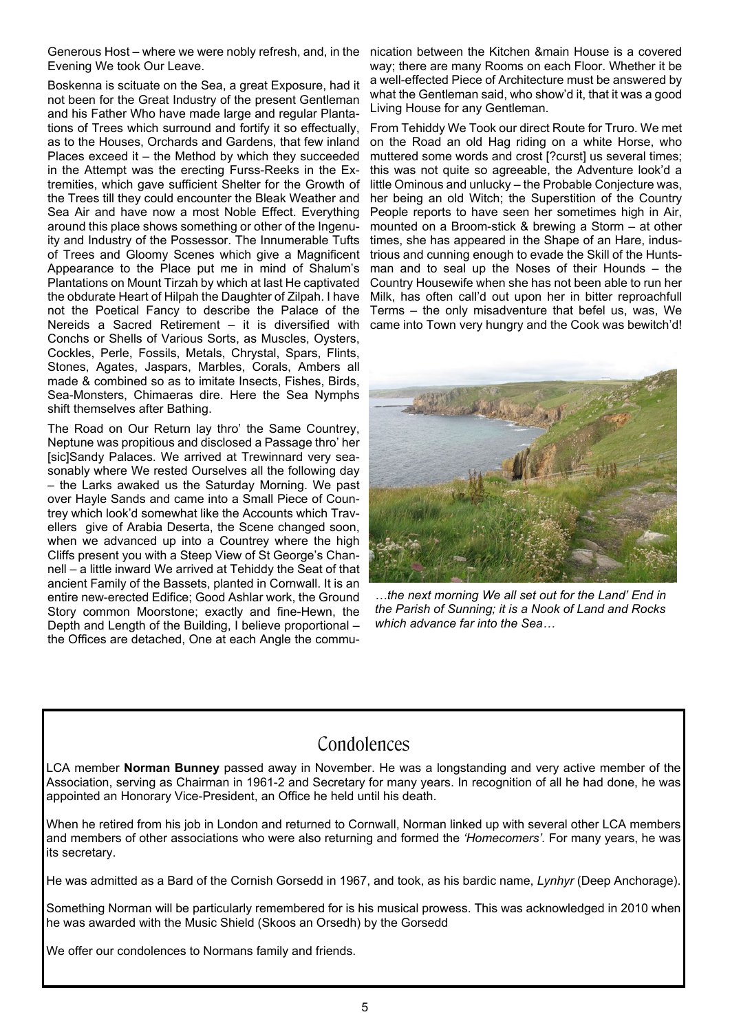Generous Host – where we were nobly refresh, and, in the nication between the Kitchen &main House is a covered Evening We took Our Leave.

Boskenna is scituate on the Sea, a great Exposure, had it not been for the Great Industry of the present Gentleman and his Father Who have made large and regular Plantations of Trees which surround and fortify it so effectually, as to the Houses, Orchards and Gardens, that few inland Places exceed it – the Method by which they succeeded in the Attempt was the erecting Furss-Reeks in the Extremities, which gave sufficient Shelter for the Growth of the Trees till they could encounter the Bleak Weather and Sea Air and have now a most Noble Effect. Everything around this place shows something or other of the Ingenuity and Industry of the Possessor. The Innumerable Tufts of Trees and Gloomy Scenes which give a Magnificent Appearance to the Place put me in mind of Shalum's Plantations on Mount Tirzah by which at last He captivated the obdurate Heart of Hilpah the Daughter of Zilpah. I have not the Poetical Fancy to describe the Palace of the Nereids a Sacred Retirement – it is diversified with Conchs or Shells of Various Sorts, as Muscles, Oysters, Cockles, Perle, Fossils, Metals, Chrystal, Spars, Flints, Stones, Agates, Jaspars, Marbles, Corals, Ambers all made & combined so as to imitate Insects, Fishes, Birds, Sea-Monsters, Chimaeras dire. Here the Sea Nymphs shift themselves after Bathing.

The Road on Our Return lay thro' the Same Countrey, Neptune was propitious and disclosed a Passage thro' her [sic]Sandy Palaces. We arrived at Trewinnard very seasonably where We rested Ourselves all the following day – the Larks awaked us the Saturday Morning. We past over Hayle Sands and came into a Small Piece of Countrey which look'd somewhat like the Accounts which Travellers give of Arabia Deserta, the Scene changed soon, when we advanced up into a Countrey where the high Cliffs present you with a Steep View of St George's Channell – a little inward We arrived at Tehiddy the Seat of that ancient Family of the Bassets, planted in Cornwall. It is an entire new-erected Edifice; Good Ashlar work, the Ground Story common Moorstone; exactly and fine-Hewn, the Depth and Length of the Building, I believe proportional – the Offices are detached, One at each Angle the commu-

way; there are many Rooms on each Floor. Whether it be a well-effected Piece of Architecture must be answered by what the Gentleman said, who show'd it, that it was a good Living House for any Gentleman.

From Tehiddy We Took our direct Route for Truro. We met on the Road an old Hag riding on a white Horse, who muttered some words and crost [?curst] us several times; this was not quite so agreeable, the Adventure look'd a little Ominous and unlucky – the Probable Conjecture was, her being an old Witch; the Superstition of the Country People reports to have seen her sometimes high in Air, mounted on a Broom-stick & brewing a Storm – at other times, she has appeared in the Shape of an Hare, industrious and cunning enough to evade the Skill of the Huntsman and to seal up the Noses of their Hounds – the Country Housewife when she has not been able to run her Milk, has often call'd out upon her in bitter reproachfull Terms – the only misadventure that befel us, was, We came into Town very hungry and the Cook was bewitch'd!



*…the next morning We all set out for the Land' End in the Parish of Sunning; it is a Nook of Land and Rocks which advance far into the Sea…*

### **Condolences**

LCA member **Norman Bunney** passed away in November. He was a longstanding and very active member of the Association, serving as Chairman in 1961-2 and Secretary for many years. In recognition of all he had done, he was appointed an Honorary Vice-President, an Office he held until his death.

When he retired from his job in London and returned to Cornwall, Norman linked up with several other LCA members and members of other associations who were also returning and formed the *'Homecomers'.* For many years, he was its secretary.

He was admitted as a Bard of the Cornish Gorsedd in 1967, and took, as his bardic name, *Lynhyr* (Deep Anchorage).

Something Norman will be particularly remembered for is his musical prowess. This was acknowledged in 2010 when he was awarded with the Music Shield (Skoos an Orsedh) by the Gorsedd

We offer our condolences to Normans family and friends.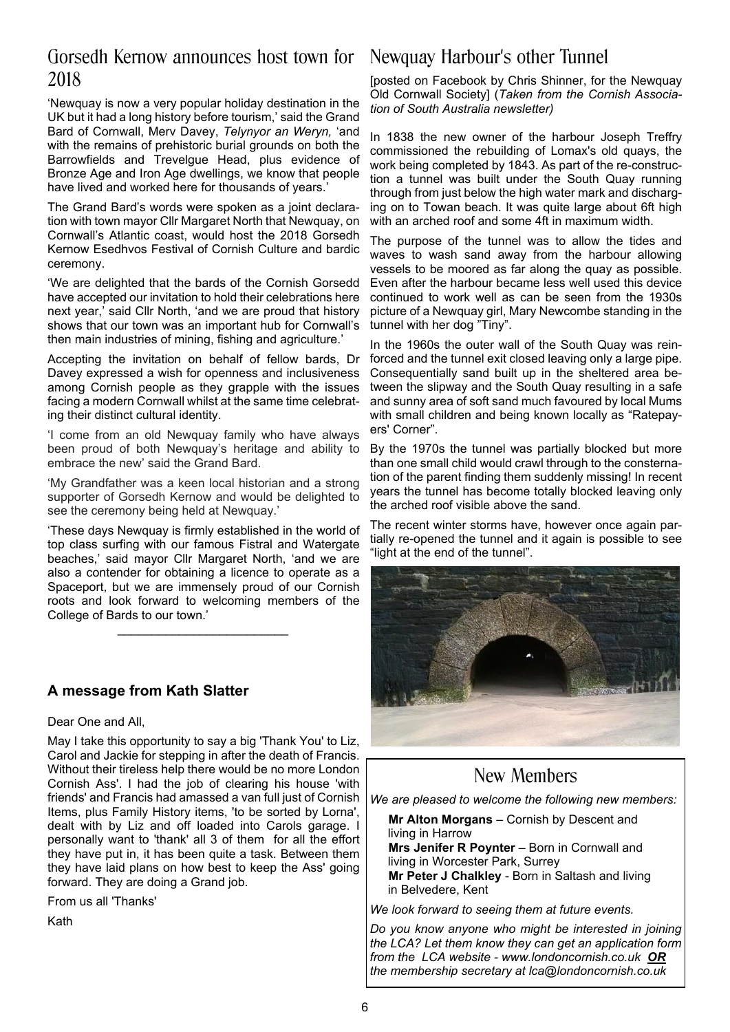### Gorsedh Kernow announces host town for 2018

'Newquay is now a very popular holiday destination in the UK but it had a long history before tourism,' said the Grand Bard of Cornwall, Merv Davey, *Telynyor an Weryn,* 'and with the remains of prehistoric burial grounds on both the Barrowfields and Trevelgue Head, plus evidence of Bronze Age and Iron Age dwellings, we know that people have lived and worked here for thousands of years.'

The Grand Bard's words were spoken as a joint declaration with town mayor Cllr Margaret North that Newquay, on Cornwall's Atlantic coast, would host the 2018 Gorsedh Kernow Esedhvos Festival of Cornish Culture and bardic ceremony.

'We are delighted that the bards of the Cornish Gorsedd have accepted our invitation to hold their celebrations here next year,' said Cllr North, 'and we are proud that history shows that our town was an important hub for Cornwall's then main industries of mining, fishing and agriculture.'

Accepting the invitation on behalf of fellow bards, Dr Davey expressed a wish for openness and inclusiveness among Cornish people as they grapple with the issues facing a modern Cornwall whilst at the same time celebrating their distinct cultural identity.

'I come from an old Newquay family who have always been proud of both Newquay's heritage and ability to embrace the new' said the Grand Bard.

'My Grandfather was a keen local historian and a strong supporter of Gorsedh Kernow and would be delighted to see the ceremony being held at Newquay.'

'These days Newquay is firmly established in the world of top class surfing with our famous Fistral and Watergate beaches,' said mayor Cllr Margaret North, 'and we are also a contender for obtaining a licence to operate as a Spaceport, but we are immensely proud of our Cornish roots and look forward to welcoming members of the College of Bards to our town.'

*\_\_\_\_\_\_\_\_\_\_\_\_\_\_\_\_\_\_\_\_\_\_\_\_\_*

### **A message from Kath Slatter**

Dear One and All,

May I take this opportunity to say a big 'Thank You' to Liz, Carol and Jackie for stepping in after the death of Francis. Without their tireless help there would be no more London Cornish Ass'. I had the job of clearing his house 'with friends' and Francis had amassed a van full just of Cornish Items, plus Family History items, 'to be sorted by Lorna', dealt with by Liz and off loaded into Carols garage. I personally want to 'thank' all 3 of them for all the effort they have put in, it has been quite a task. Between them they have laid plans on how best to keep the Ass' going forward. They are doing a Grand job.

From us all 'Thanks'

Kath

## Newquay Harbour's other Tunnel

[posted on Facebook by Chris Shinner, for the Newquay Old Cornwall Society] (*Taken from the Cornish Association of South Australia newsletter)*

In 1838 the new owner of the harbour Joseph Treffry commissioned the rebuilding of Lomax's old quays, the work being completed by 1843. As part of the re-construction a tunnel was built under the South Quay running through from just below the high water mark and discharging on to Towan beach. It was quite large about 6ft high with an arched roof and some 4ft in maximum width.

The purpose of the tunnel was to allow the tides and waves to wash sand away from the harbour allowing vessels to be moored as far along the quay as possible. Even after the harbour became less well used this device continued to work well as can be seen from the 1930s picture of a Newquay girl, Mary Newcombe standing in the tunnel with her dog "Tiny".

In the 1960s the outer wall of the South Quay was reinforced and the tunnel exit closed leaving only a large pipe. Consequentially sand built up in the sheltered area between the slipway and the South Quay resulting in a safe and sunny area of soft sand much favoured by local Mums with small children and being known locally as "Ratepayers' Corner".

By the 1970s the tunnel was partially blocked but more than one small child would crawl through to the consternation of the parent finding them suddenly missing! In recent years the tunnel has become totally blocked leaving only the arched roof visible above the sand.

The recent winter storms have, however once again partially re-opened the tunnel and it again is possible to see "light at the end of the tunnel".



### New Members

*We are pleased to welcome the following new members:*

**Mr Alton Morgans** – Cornish by Descent and living in Harrow **Mrs Jenifer R Poynter** – Born in Cornwall and

living in Worcester Park, Surrey **Mr Peter J Chalkley** - Born in Saltash and living in Belvedere, Kent

*We look forward to seeing them at future events.*

*Do you know anyone who might be interested in joining the LCA? Let them know they can get an application form from the LCA website - www.londoncornish.co.uk OR the membership secretary at lca@londoncornish.co.uk*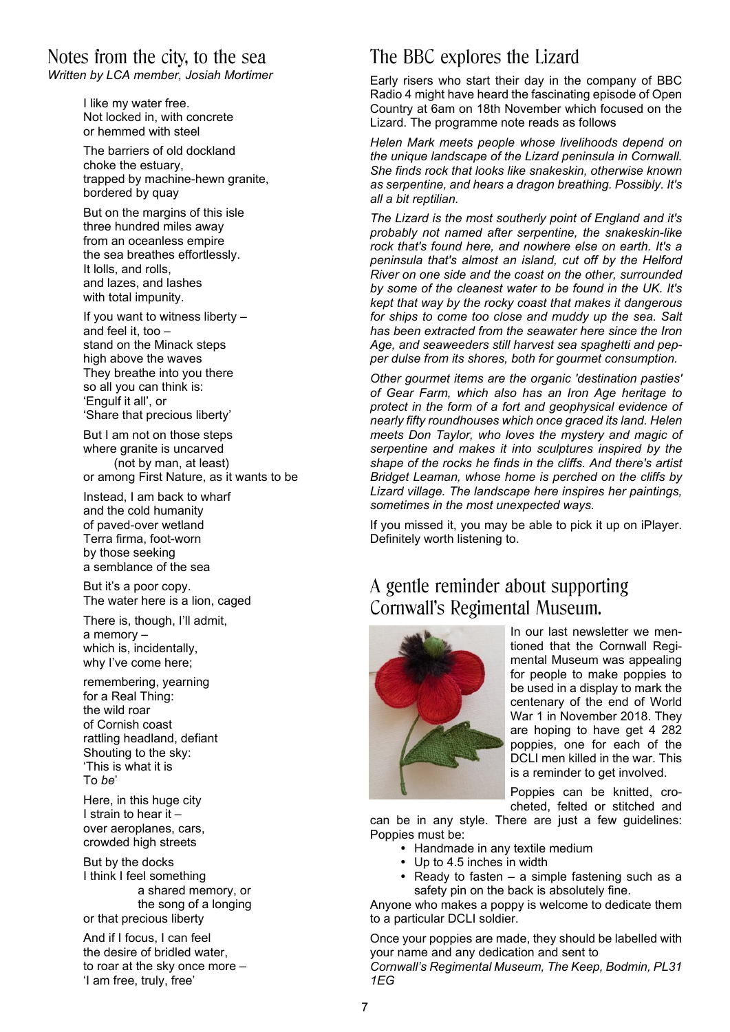### Notes from the city, to the sea

*Written by LCA member, Josiah Mortimer*

I like my water free. Not locked in, with concrete or hemmed with steel

The barriers of old dockland choke the estuary, trapped by machine-hewn granite, bordered by quay

But on the margins of this isle three hundred miles away from an oceanless empire the sea breathes effortlessly. It lolls, and rolls, and lazes, and lashes with total impunity.

If you want to witness liberty – and feel it, too – stand on the Minack steps high above the waves They breathe into you there so all you can think is: 'Engulf it all', or 'Share that precious liberty'

But I am not on those steps where granite is uncarved (not by man, at least) or among First Nature, as it wants to be

Instead, I am back to wharf and the cold humanity of paved-over wetland Terra firma, foot-worn by those seeking a semblance of the sea

But it's a poor copy. The water here is a lion, caged

There is, though, I'll admit, a memory – which is, incidentally, why I've come here;

remembering, yearning for a Real Thing: the wild roar of Cornish coast rattling headland, defiant Shouting to the sky: 'This is what it is To *be*'

Here, in this huge city I strain to hear it – over aeroplanes, cars, crowded high streets

But by the docks I think I feel something a shared memory, or the song of a longing or that precious liberty

And if I focus, I can feel the desire of bridled water, to roar at the sky once more – 'I am free, truly, free'

## The BBC explores the Lizard

Early risers who start their day in the company of BBC Radio 4 might have heard the fascinating episode of Open Country at 6am on 18th November which focused on the Lizard. The programme note reads as follows

*Helen Mark meets people whose livelihoods depend on the unique landscape of the Lizard peninsula in Cornwall. She finds rock that looks like snakeskin, otherwise known as serpentine, and hears a dragon breathing. Possibly. It's all a bit reptilian.*

*The Lizard is the most southerly point of England and it's probably not named after serpentine, the snakeskin-like rock that's found here, and nowhere else on earth. It's a peninsula that's almost an island, cut off by the Helford River on one side and the coast on the other, surrounded by some of the cleanest water to be found in the UK. It's kept that way by the rocky coast that makes it dangerous for ships to come too close and muddy up the sea. Salt has been extracted from the seawater here since the Iron Age, and seaweeders still harvest sea spaghetti and pepper dulse from its shores, both for gourmet consumption.*

*Other gourmet items are the organic 'destination pasties' of Gear Farm, which also has an Iron Age heritage to protect in the form of a fort and geophysical evidence of nearly fifty roundhouses which once graced its land. Helen meets Don Taylor, who loves the mystery and magic of serpentine and makes it into sculptures inspired by the shape of the rocks he finds in the cliffs. And there's artist Bridget Leaman, whose home is perched on the cliffs by Lizard village. The landscape here inspires her paintings, sometimes in the most unexpected ways.*

If you missed it, you may be able to pick it up on iPlayer. Definitely worth listening to.

### A gentle reminder about supporting Cornwall's Regimental Museum.



In our last newsletter we mentioned that the Cornwall Regimental Museum was appealing for people to make poppies to be used in a display to mark the centenary of the end of World War 1 in November 2018. They are hoping to have get 4 282 poppies, one for each of the DCLI men killed in the war. This is a reminder to get involved.

Poppies can be knitted, crocheted, felted or stitched and

can be in any style. There are just a few guidelines: Poppies must be:

- Handmade in any textile medium
- Up to 4.5 inches in width
- Ready to fasten a simple fastening such as a safety pin on the back is absolutely fine.

Anyone who makes a poppy is welcome to dedicate them to a particular DCLI soldier.

Once your poppies are made, they should be labelled with your name and any dedication and sent to

*Cornwall's Regimental Museum, The Keep, Bodmin, PL31 1EG*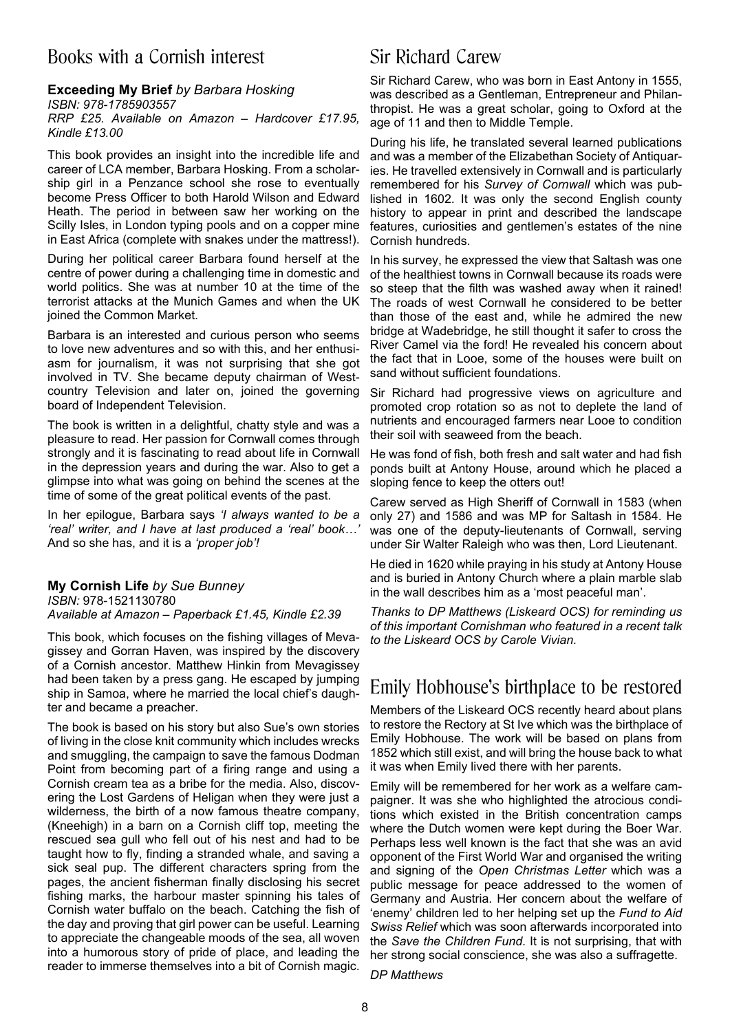### Books with a Cornish interest

#### **Exceeding My Brief** *by Barbara Hosking ISBN: 978-1785903557 RRP £25. Available on Amazon – Hardcover £17.95, Kindle £13.00*

This book provides an insight into the incredible life and career of LCA member, Barbara Hosking. From a scholarship girl in a Penzance school she rose to eventually become Press Officer to both Harold Wilson and Edward Heath. The period in between saw her working on the Scilly Isles, in London typing pools and on a copper mine in East Africa (complete with snakes under the mattress!).

During her political career Barbara found herself at the centre of power during a challenging time in domestic and world politics. She was at number 10 at the time of the terrorist attacks at the Munich Games and when the UK joined the Common Market.

Barbara is an interested and curious person who seems to love new adventures and so with this, and her enthusiasm for journalism, it was not surprising that she got involved in TV. She became deputy chairman of Westcountry Television and later on, joined the governing board of Independent Television.

The book is written in a delightful, chatty style and was a pleasure to read. Her passion for Cornwall comes through strongly and it is fascinating to read about life in Cornwall in the depression years and during the war. Also to get a glimpse into what was going on behind the scenes at the time of some of the great political events of the past.

In her epilogue, Barbara says *'I always wanted to be a 'real' writer, and I have at last produced a 'real' book…'* And so she has, and it is a *'proper job'!*

#### **My Cornish Life** *by Sue Bunney ISBN:* 978-1521130780 *Available at Amazon – Paperback £1.45, Kindle £2.39*

This book, which focuses on the fishing villages of Mevagissey and Gorran Haven, was inspired by the discovery of a Cornish ancestor. Matthew Hinkin from Mevagissey had been taken by a press gang. He escaped by jumping ship in Samoa, where he married the local chief's daughter and became a preacher.

The book is based on his story but also Sue's own stories of living in the close knit community which includes wrecks and smuggling, the campaign to save the famous Dodman Point from becoming part of a firing range and using a Cornish cream tea as a bribe for the media. Also, discovering the Lost Gardens of Heligan when they were just a wilderness, the birth of a now famous theatre company, (Kneehigh) in a barn on a Cornish cliff top, meeting the rescued sea gull who fell out of his nest and had to be taught how to fly, finding a stranded whale, and saving a sick seal pup. The different characters spring from the pages, the ancient fisherman finally disclosing his secret fishing marks, the harbour master spinning his tales of Cornish water buffalo on the beach. Catching the fish of the day and proving that girl power can be useful. Learning to appreciate the changeable moods of the sea, all woven into a humorous story of pride of place, and leading the reader to immerse themselves into a bit of Cornish magic.

### Sir Richard Carew

Sir Richard Carew, who was born in East Antony in 1555, was described as a Gentleman, Entrepreneur and Philanthropist. He was a great scholar, going to Oxford at the age of 11 and then to Middle Temple.

During his life, he translated several learned publications and was a member of the Elizabethan Society of Antiquaries. He travelled extensively in Cornwall and is particularly remembered for his *Survey of Cornwall* which was published in 1602. It was only the second English county history to appear in print and described the landscape features, curiosities and gentlemen's estates of the nine Cornish hundreds.

In his survey, he expressed the view that Saltash was one of the healthiest towns in Cornwall because its roads were so steep that the filth was washed away when it rained! The roads of west Cornwall he considered to be better than those of the east and, while he admired the new bridge at Wadebridge, he still thought it safer to cross the River Camel via the ford! He revealed his concern about the fact that in Looe, some of the houses were built on sand without sufficient foundations.

Sir Richard had progressive views on agriculture and promoted crop rotation so as not to deplete the land of nutrients and encouraged farmers near Looe to condition their soil with seaweed from the beach.

He was fond of fish, both fresh and salt water and had fish ponds built at Antony House, around which he placed a sloping fence to keep the otters out!

Carew served as High Sheriff of Cornwall in 1583 (when only 27) and 1586 and was MP for Saltash in 1584. He was one of the deputy-lieutenants of Cornwall, serving under Sir Walter Raleigh who was then, Lord Lieutenant.

He died in 1620 while praying in his study at Antony House and is buried in Antony Church where a plain marble slab in the wall describes him as a 'most peaceful man'.

*Thanks to DP Matthews (Liskeard OCS) for reminding us of this important Cornishman who featured in a recent talk to the Liskeard OCS by Carole Vivian.*

### Emily Hobhouse's birthplace to be restored

Members of the Liskeard OCS recently heard about plans to restore the Rectory at St Ive which was the birthplace of Emily Hobhouse. The work will be based on plans from 1852 which still exist, and will bring the house back to what it was when Emily lived there with her parents.

Emily will be remembered for her work as a welfare campaigner. It was she who highlighted the atrocious conditions which existed in the British concentration camps where the Dutch women were kept during the Boer War. Perhaps less well known is the fact that she was an avid opponent of the First World War and organised the writing and signing of the *Open Christmas Letter* which was a public message for peace addressed to the women of Germany and Austria. Her concern about the welfare of 'enemy' children led to her helping set up the *Fund to Aid Swiss Relief* which was soon afterwards incorporated into the *Save the Children Fund*. It is not surprising, that with her strong social conscience, she was also a suffragette.

*DP Matthews*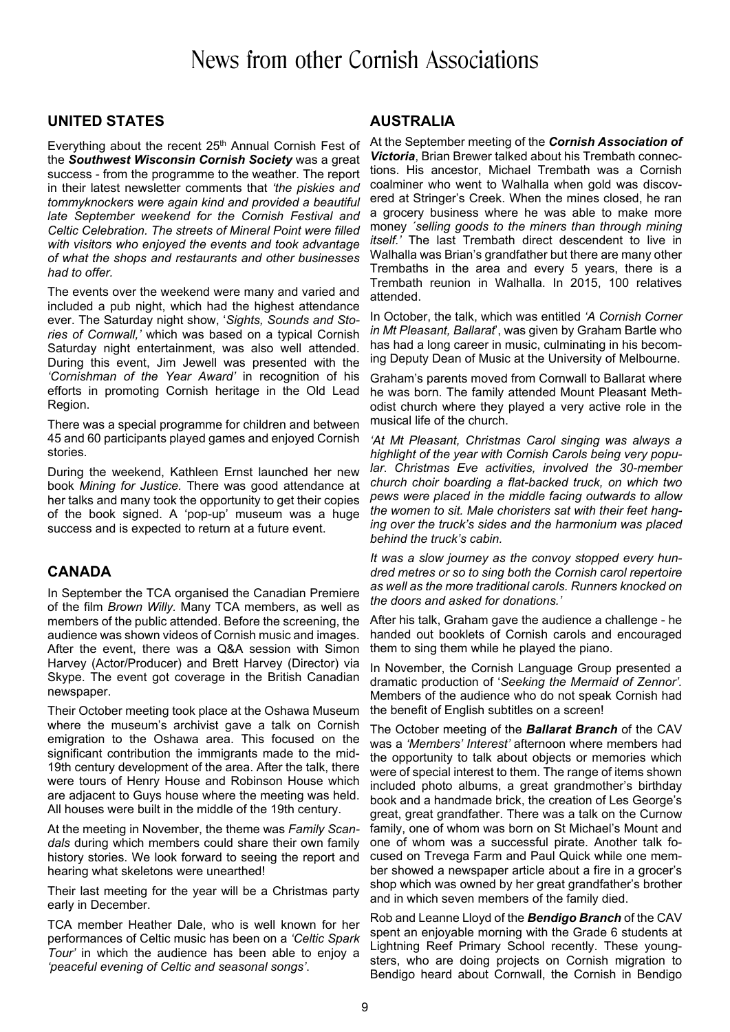## News from other Cornish Associations

### **UNITED STATES**

Everything about the recent 25<sup>th</sup> Annual Cornish Fest of the *Southwest Wisconsin Cornish Society* was a great success - from the programme to the weather. The report in their latest newsletter comments that *'the piskies and tommyknockers were again kind and provided a beautiful late September weekend for the Cornish Festival and Celtic Celebration. The streets of Mineral Point were filled with visitors who enjoyed the events and took advantage of what the shops and restaurants and other businesses had to offer.*

The events over the weekend were many and varied and included a pub night, which had the highest attendance ever. The Saturday night show, '*Sights, Sounds and Stories of Cornwall,'* which was based on a typical Cornish Saturday night entertainment, was also well attended. During this event, Jim Jewell was presented with the *'Cornishman of the Year Award'* in recognition of his efforts in promoting Cornish heritage in the Old Lead Region.

There was a special programme for children and between 45 and 60 participants played games and enjoyed Cornish stories.

During the weekend, Kathleen Ernst launched her new book *Mining for Justice.* There was good attendance at her talks and many took the opportunity to get their copies of the book signed. A 'pop-up' museum was a huge success and is expected to return at a future event.

#### **CANADA**

In September the TCA organised the Canadian Premiere of the film *Brown Willy.* Many TCA members, as well as members of the public attended. Before the screening, the audience was shown videos of Cornish music and images. After the event, there was a Q&A session with Simon Harvey (Actor/Producer) and Brett Harvey (Director) via Skype. The event got coverage in the British Canadian newspaper.

Their October meeting took place at the Oshawa Museum where the museum's archivist gave a talk on Cornish emigration to the Oshawa area. This focused on the significant contribution the immigrants made to the mid-19th century development of the area. After the talk, there were tours of Henry House and Robinson House which are adjacent to Guys house where the meeting was held. All houses were built in the middle of the 19th century.

At the meeting in November, the theme was *Family Scandals* during which members could share their own family history stories. We look forward to seeing the report and hearing what skeletons were unearthed!

Their last meeting for the year will be a Christmas party early in December.

TCA member Heather Dale, who is well known for her performances of Celtic music has been on a *'Celtic Spark Tour'* in which the audience has been able to enjoy a *'peaceful evening of Celtic and seasonal songs'*.

### **AUSTRALIA**

At the September meeting of the *Cornish Association of Victoria*, Brian Brewer talked about his Trembath connections. His ancestor, Michael Trembath was a Cornish coalminer who went to Walhalla when gold was discovered at Stringer's Creek. When the mines closed, he ran a grocery business where he was able to make more money *´selling goods to the miners than through mining itself.'* The last Trembath direct descendent to live in Walhalla was Brian's grandfather but there are many other Trembaths in the area and every 5 years, there is a Trembath reunion in Walhalla. In 2015, 100 relatives attended.

In October, the talk, which was entitled *'A Cornish Corner in Mt Pleasant, Ballarat*', was given by Graham Bartle who has had a long career in music, culminating in his becoming Deputy Dean of Music at the University of Melbourne.

Graham's parents moved from Cornwall to Ballarat where he was born. The family attended Mount Pleasant Methodist church where they played a very active role in the musical life of the church.

*'At Mt Pleasant, Christmas Carol singing was always a highlight of the year with Cornish Carols being very popular*. *Christmas Eve activities, involved the 30-member church choir boarding a flat-backed truck, on which two pews were placed in the middle facing outwards to allow the women to sit. Male choristers sat with their feet hanging over the truck's sides and the harmonium was placed behind the truck's cabin.*

*It was a slow journey as the convoy stopped every hundred metres or so to sing both the Cornish carol repertoire as well as the more traditional carols. Runners knocked on the doors and asked for donations.'*

After his talk, Graham gave the audience a challenge - he handed out booklets of Cornish carols and encouraged them to sing them while he played the piano.

In November, the Cornish Language Group presented a dramatic production of '*Seeking the Mermaid of Zennor'.* Members of the audience who do not speak Cornish had the benefit of English subtitles on a screen!

The October meeting of the *Ballarat Branch* of the CAV was a *'Members' Interest'* afternoon where members had the opportunity to talk about objects or memories which were of special interest to them. The range of items shown included photo albums, a great grandmother's birthday book and a handmade brick, the creation of Les George's great, great grandfather. There was a talk on the Curnow family, one of whom was born on St Michael's Mount and one of whom was a successful pirate. Another talk focused on Trevega Farm and Paul Quick while one member showed a newspaper article about a fire in a grocer's shop which was owned by her great grandfather's brother and in which seven members of the family died.

Rob and Leanne Lloyd of the *Bendigo Branch* of the CAV spent an enjoyable morning with the Grade 6 students at Lightning Reef Primary School recently. These youngsters, who are doing projects on Cornish migration to Bendigo heard about Cornwall, the Cornish in Bendigo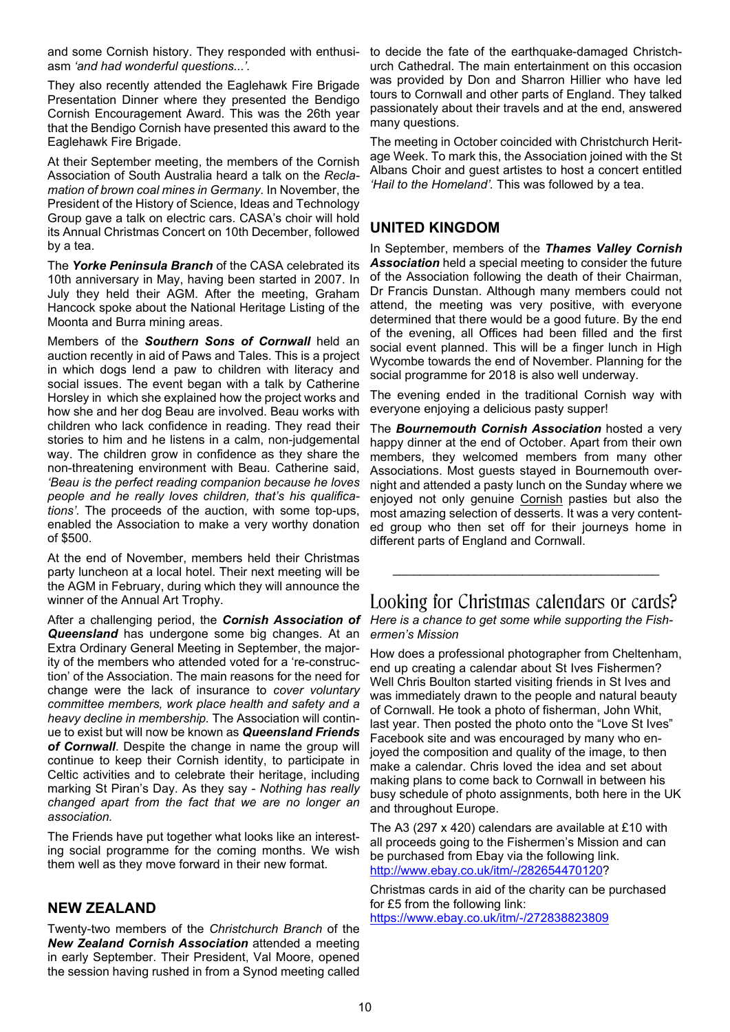and some Cornish history. They responded with enthusiasm *'and had wonderful questions...'.*

They also recently attended the Eaglehawk Fire Brigade Presentation Dinner where they presented the Bendigo Cornish Encouragement Award. This was the 26th year that the Bendigo Cornish have presented this award to the Eaglehawk Fire Brigade.

At their September meeting, the members of the Cornish Association of South Australia heard a talk on the *Reclamation of brown coal mines in Germany*. In November, the President of the History of Science, Ideas and Technology Group gave a talk on electric cars. CASA's choir will hold its Annual Christmas Concert on 10th December, followed by a tea.

The *Yorke Peninsula Branch* of the CASA celebrated its 10th anniversary in May, having been started in 2007. In July they held their AGM. After the meeting, Graham Hancock spoke about the National Heritage Listing of the Moonta and Burra mining areas.

Members of the *Southern Sons of Cornwall* held an auction recently in aid of Paws and Tales. This is a project in which dogs lend a paw to children with literacy and social issues. The event began with a talk by Catherine Horsley in which she explained how the project works and how she and her dog Beau are involved. Beau works with children who lack confidence in reading. They read their stories to him and he listens in a calm, non-judgemental way. The children grow in confidence as they share the non-threatening environment with Beau. Catherine said, *'Beau is the perfect reading companion because he loves people and he really loves children, that's his qualifications'.* The proceeds of the auction, with some top-ups, enabled the Association to make a very worthy donation of \$500.

At the end of November, members held their Christmas party luncheon at a local hotel. Their next meeting will be the AGM in February, during which they will announce the winner of the Annual Art Trophy.

After a challenging period, the *Cornish Association of Queensland* has undergone some big changes. At an Extra Ordinary General Meeting in September, the majority of the members who attended voted for a 're-construction' of the Association. The main reasons for the need for change were the lack of insurance to *cover voluntary committee members, work place health and safety and a heavy decline in membership.* The Association will continue to exist but will now be known as *Queensland Friends of Cornwall*. Despite the change in name the group will continue to keep their Cornish identity, to participate in Celtic activities and to celebrate their heritage, including marking St Piran's Day. As they say - *Nothing has really changed apart from the fact that we are no longer an association.*

The Friends have put together what looks like an interesting social programme for the coming months. We wish them well as they move forward in their new format.

### **NEW ZEALAND**

Twenty-two members of the *Christchurch Branch* of the *New Zealand Cornish Association* attended a meeting in early September. Their President, Val Moore, opened the session having rushed in from a Synod meeting called

to decide the fate of the earthquake-damaged Christchurch Cathedral. The main entertainment on this occasion was provided by Don and Sharron Hillier who have led tours to Cornwall and other parts of England. They talked passionately about their travels and at the end, answered many questions.

The meeting in October coincided with Christchurch Heritage Week. To mark this, the Association joined with the St Albans Choir and guest artistes to host a concert entitled *'Hail to the Homeland'.* This was followed by a tea.

### **UNITED KINGDOM**

In September, members of the *Thames Valley Cornish Association* held a special meeting to consider the future of the Association following the death of their Chairman, Dr Francis Dunstan. Although many members could not attend, the meeting was very positive, with everyone determined that there would be a good future. By the end of the evening, all Offices had been filled and the first social event planned. This will be a finger lunch in High Wycombe towards the end of November. Planning for the social programme for 2018 is also well underway.

The evening ended in the traditional Cornish way with everyone enjoying a delicious pasty supper!

The *Bournemouth Cornish Association* hosted a very happy dinner at the end of October. Apart from their own members, they welcomed members from many other Associations. Most guests stayed in Bournemouth overnight and attended a pasty lunch on the Sunday where we enjoyed not only genuine Cornish pasties but also the most amazing selection of desserts. It was a very contented group who then set off for their journeys home in different parts of England and Cornwall.

Looking for Christmas calendars or cards? *Here is a chance to get some while supporting the Fishermen's Mission*

\_\_\_\_\_\_\_\_\_\_\_\_\_\_\_\_\_\_\_\_\_\_\_\_\_\_\_\_\_\_\_\_\_\_\_\_\_\_\_

How does a professional photographer from Cheltenham, end up creating a calendar about St Ives Fishermen? Well Chris Boulton started visiting friends in St Ives and was immediately drawn to the people and natural beauty of Cornwall. He took a photo of fisherman, John Whit, last year. Then posted the photo onto the "Love St Ives" Facebook site and was encouraged by many who enjoyed the composition and quality of the image, to then make a calendar. Chris loved the idea and set about making plans to come back to Cornwall in between his busy schedule of photo assignments, both here in the UK and throughout Europe.

The A3 (297 x 420) calendars are available at £10 with all proceeds going to the Fishermen's Mission and can be purchased from Ebay via the following link. http://www.ebay.co.uk/itm/-/282654470120?

Christmas cards in aid of the charity can be purchased for £5 from the following link:

https://www.ebay.co.uk/itm/-/272838823809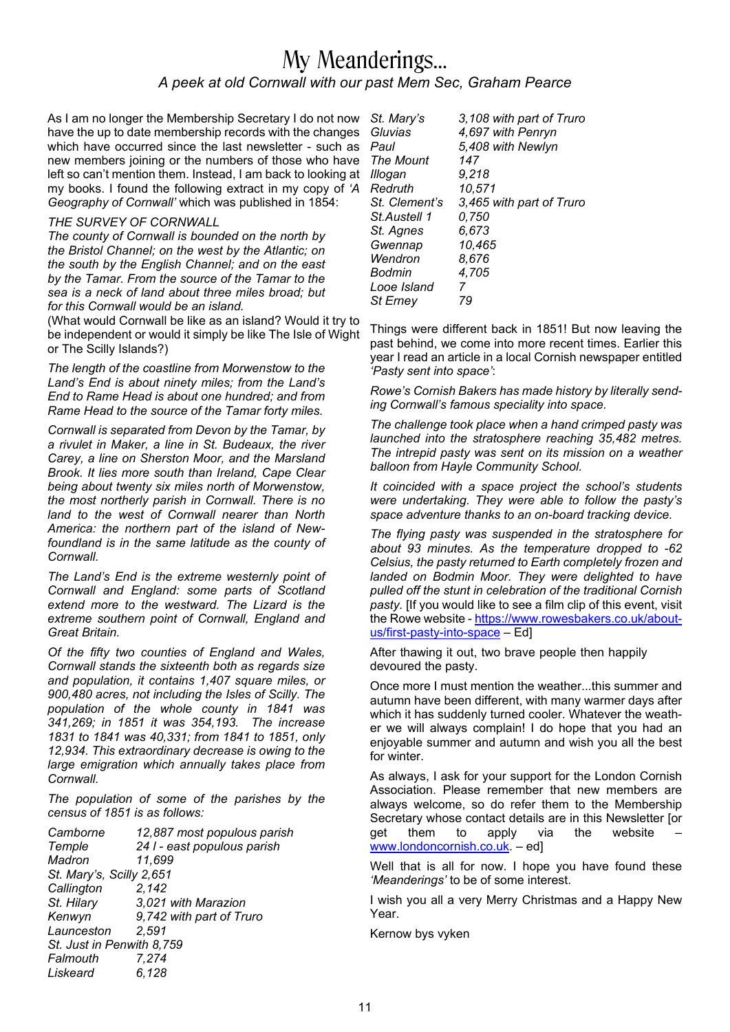### My Meanderings… *A peek at old Cornwall with our past Mem Sec, Graham Pearce*

As I am no longer the Membership Secretary I do not now have the up to date membership records with the changes which have occurred since the last newsletter - such as new members joining or the numbers of those who have left so can't mention them. Instead, I am back to looking at my books. I found the following extract in my copy of *'A Geography of Cornwall'* which was published in 1854:

#### *THE SURVEY OF CORNWALL*

*The county of Cornwall is bounded on the north by the Bristol Channel; on the west by the Atlantic; on the south by the English Channel; and on the east by the Tamar. From the source of the Tamar to the sea is a neck of land about three miles broad; but for this Cornwall would be an island.*

(What would Cornwall be like as an island? Would it try to be independent or would it simply be like The Isle of Wight or The Scilly Islands?)

*The length of the coastline from Morwenstow to the Land's End is about ninety miles; from the Land's End to Rame Head is about one hundred; and from Rame Head to the source of the Tamar forty miles.*

*Cornwall is separated from Devon by the Tamar, by a rivulet in Maker, a line in St. Budeaux, the river Carey, a line on Sherston Moor, and the Marsland Brook. It lies more south than Ireland, Cape Clear being about twenty six miles north of Morwenstow, the most northerly parish in Cornwall. There is no land to the west of Cornwall nearer than North America: the northern part of the island of Newfoundland is in the same latitude as the county of Cornwall.*

*The Land's End is the extreme westernly point of Cornwall and England: some parts of Scotland extend more to the westward. The Lizard is the extreme southern point of Cornwall, England and Great Britain.*

*Of the fifty two counties of England and Wales, Cornwall stands the sixteenth both as regards size and population, it contains 1,407 square miles, or 900,480 acres, not including the Isles of Scilly. The population of the whole county in 1841 was 341,269; in 1851 it was 354,193. The increase 1831 to 1841 was 40,331; from 1841 to 1851, only 12,934. This extraordinary decrease is owing to the large emigration which annually takes place from Cornwall.*

*The population of some of the parishes by the census of 1851 is as follows:*

| Camborne                  | 12,887 most populous parish |  |
|---------------------------|-----------------------------|--|
| Temple                    | 24 I - east populous parish |  |
| Madron                    | 11,699                      |  |
| St. Mary's, Scilly 2,651  |                             |  |
| Callington                | 2.142                       |  |
| St. Hilary                | 3,021 with Marazion         |  |
| Kenwyn                    | 9,742 with part of Truro    |  |
| Launceston                | 2,591                       |  |
| St. Just in Penwith 8,759 |                             |  |
| Falmouth                  | 7,274                       |  |
| Liskeard                  | 6.128                       |  |

| St. Mary's       | 3,108 with part of Truro |
|------------------|--------------------------|
| Gluvias          | 4,697 with Penryn        |
| Paul             | 5,408 with Newlyn        |
| <b>The Mount</b> | 147                      |
| Illogan          | 9,218                    |
| Redruth          | 10,571                   |
| St. Clement's    | 3,465 with part of Truro |
| St.Austell 1     | 0,750                    |
| St. Agnes        | 6.673                    |
| Gwennap          | 10,465                   |
| Wendron          | 8,676                    |
| Bodmin           | 4,705                    |
| Looe Island      | 7                        |
| St Erney         | 79                       |
|                  |                          |

Things were different back in 1851! But now leaving the past behind, we come into more recent times. Earlier this year I read an article in a local Cornish newspaper entitled *'Pasty sent into space'*:

*Rowe's Cornish Bakers has made history by literally sending Cornwall's famous speciality into space.*

*The challenge took place when a hand crimped pasty was launched into the stratosphere reaching 35,482 metres. The intrepid pasty was sent on its mission on a weather balloon from Hayle Community School.*

*It coincided with a space project the school's students were undertaking. They were able to follow the pasty's space adventure thanks to an on-board tracking device.*

*The flying pasty was suspended in the stratosphere for about 93 minutes. As the temperature dropped to -62 Celsius, the pasty returned to Earth completely frozen and landed on Bodmin Moor. They were delighted to have pulled off the stunt in celebration of the traditional Cornish pasty.* [If you would like to see a film clip of this event, visit the Rowe website - https://www.rowesbakers.co.uk/aboutus/first-pasty-into-space – Ed]

After thawing it out, two brave people then happily devoured the pasty.

Once more I must mention the weather...this summer and autumn have been different, with many warmer days after which it has suddenly turned cooler. Whatever the weather we will always complain! I do hope that you had an enjoyable summer and autumn and wish you all the best for winter.

As always, I ask for your support for the London Cornish Association. Please remember that new members are always welcome, so do refer them to the Membership Secretary whose contact details are in this Newsletter [or get them to apply via the website www.londoncornish.co.uk. – ed]

Well that is all for now. I hope you have found these *'Meanderings'* to be of some interest.

I wish you all a very Merry Christmas and a Happy New Year.

Kernow bys vyken